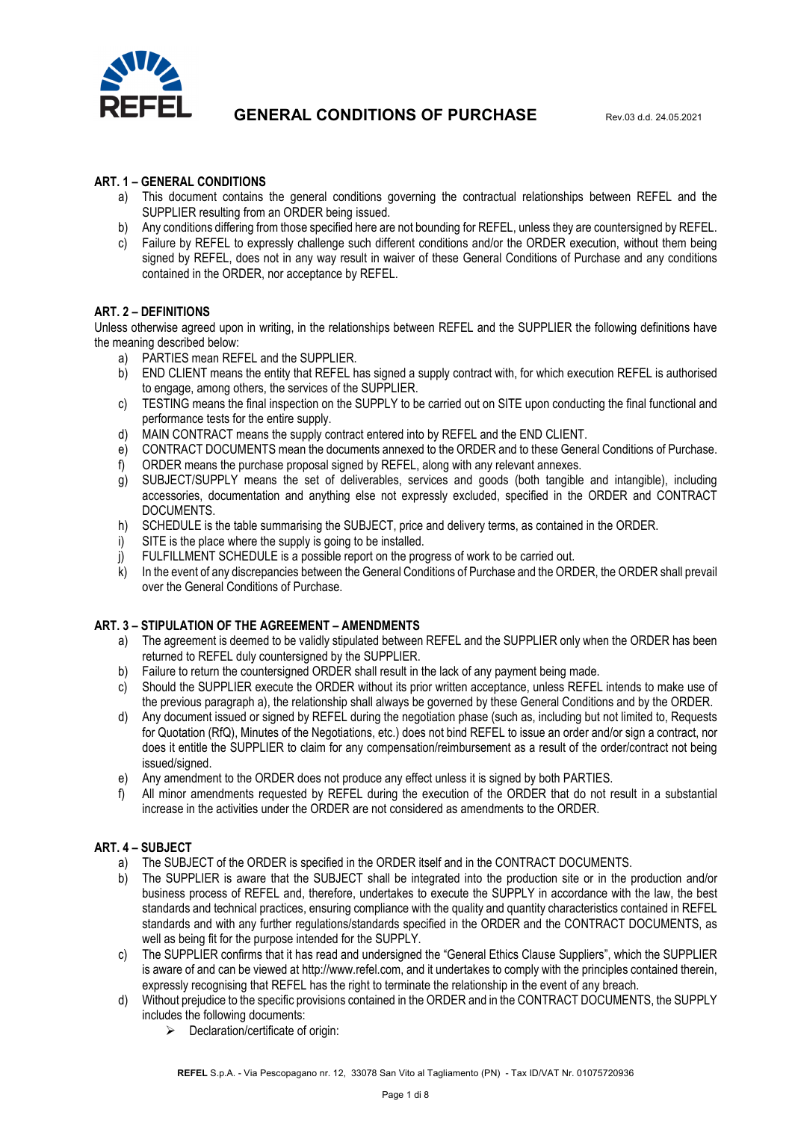

### **ART. 1 – GENERAL CONDITIONS**

- a) This document contains the general conditions governing the contractual relationships between REFEL and the SUPPLIER resulting from an ORDER being issued.
- b) Any conditions differing from those specified here are not bounding for REFEL, unless they are countersigned by REFEL.
- c) Failure by REFEL to expressly challenge such different conditions and/or the ORDER execution, without them being signed by REFEL, does not in any way result in waiver of these General Conditions of Purchase and any conditions contained in the ORDER, nor acceptance by REFEL.

## **ART. 2 – DEFINITIONS**

Unless otherwise agreed upon in writing, in the relationships between REFEL and the SUPPLIER the following definitions have the meaning described below:

- a) PARTIES mean REFEL and the SUPPLIER.
- b) END CLIENT means the entity that REFEL has signed a supply contract with, for which execution REFEL is authorised to engage, among others, the services of the SUPPLIER.
- c) TESTING means the final inspection on the SUPPLY to be carried out on SITE upon conducting the final functional and performance tests for the entire supply.
- d) MAIN CONTRACT means the supply contract entered into by REFEL and the END CLIENT.
- e) CONTRACT DOCUMENTS mean the documents annexed to the ORDER and to these General Conditions of Purchase.
- f) ORDER means the purchase proposal signed by REFEL, along with any relevant annexes.
- g) SUBJECT/SUPPLY means the set of deliverables, services and goods (both tangible and intangible), including accessories, documentation and anything else not expressly excluded, specified in the ORDER and CONTRACT DOCUMENTS.
- h) SCHEDULE is the table summarising the SUBJECT, price and delivery terms, as contained in the ORDER.
- i) SITE is the place where the supply is going to be installed.
- j) FULFILLMENT SCHEDULE is a possible report on the progress of work to be carried out.
- k) In the event of any discrepancies between the General Conditions of Purchase and the ORDER, the ORDER shall prevail over the General Conditions of Purchase.

#### **ART. 3 – STIPULATION OF THE AGREEMENT – AMENDMENTS**

- a) The agreement is deemed to be validly stipulated between REFEL and the SUPPLIER only when the ORDER has been returned to REFEL duly countersigned by the SUPPLIER.
- b) Failure to return the countersigned ORDER shall result in the lack of any payment being made.
- c) Should the SUPPLIER execute the ORDER without its prior written acceptance, unless REFEL intends to make use of the previous paragraph a), the relationship shall always be governed by these General Conditions and by the ORDER.
- d) Any document issued or signed by REFEL during the negotiation phase (such as, including but not limited to, Requests for Quotation (RfQ), Minutes of the Negotiations, etc.) does not bind REFEL to issue an order and/or sign a contract, nor does it entitle the SUPPLIER to claim for any compensation/reimbursement as a result of the order/contract not being issued/signed.
- e) Any amendment to the ORDER does not produce any effect unless it is signed by both PARTIES.
- f) All minor amendments requested by REFEL during the execution of the ORDER that do not result in a substantial increase in the activities under the ORDER are not considered as amendments to the ORDER.

#### **ART. 4 – SUBJECT**

- a) The SUBJECT of the ORDER is specified in the ORDER itself and in the CONTRACT DOCUMENTS.
- b) The SUPPLIER is aware that the SUBJECT shall be integrated into the production site or in the production and/or business process of REFEL and, therefore, undertakes to execute the SUPPLY in accordance with the law, the best standards and technical practices, ensuring compliance with the quality and quantity characteristics contained in REFEL standards and with any further regulations/standards specified in the ORDER and the CONTRACT DOCUMENTS, as well as being fit for the purpose intended for the SUPPLY.
- c) The SUPPLIER confirms that it has read and undersigned the "General Ethics Clause Suppliers", which the SUPPLIER is aware of and can be viewed at http://www.refel.com, and it undertakes to comply with the principles contained therein, expressly recognising that REFEL has the right to terminate the relationship in the event of any breach.
- d) Without prejudice to the specific provisions contained in the ORDER and in the CONTRACT DOCUMENTS, the SUPPLY includes the following documents:
	- $\triangleright$  Declaration/certificate of origin: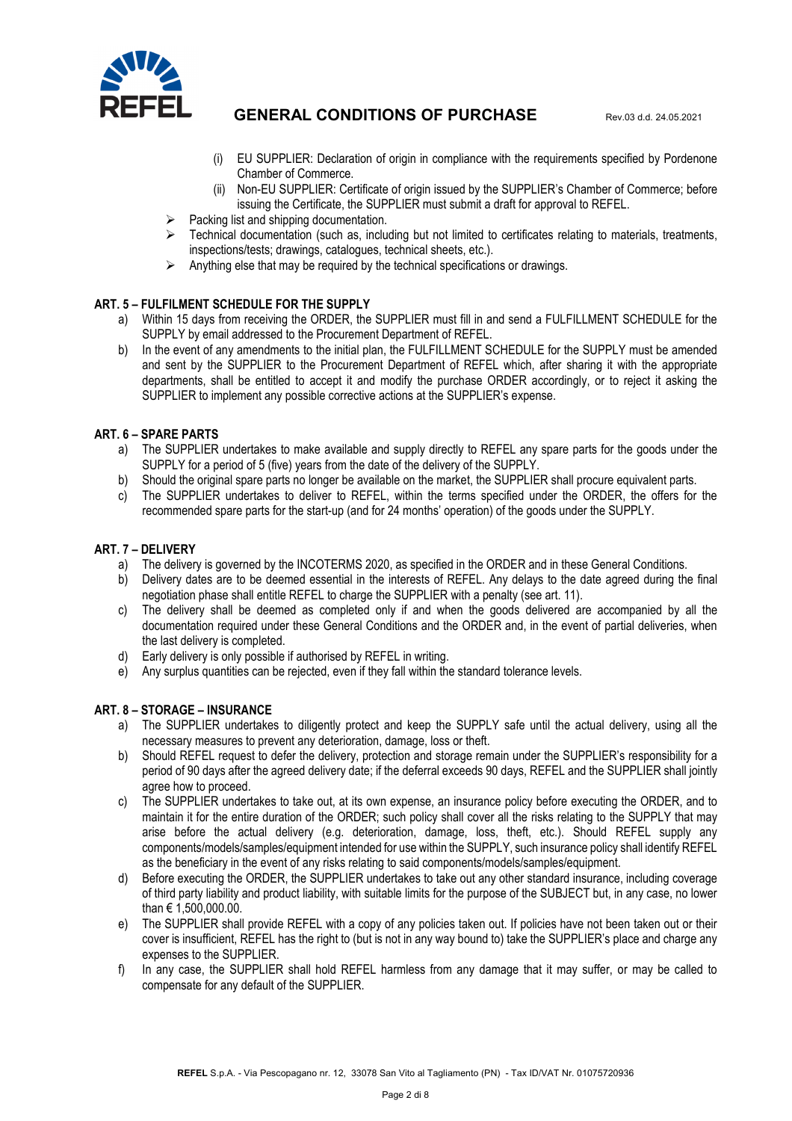

- (i) EU SUPPLIER: Declaration of origin in compliance with the requirements specified by Pordenone Chamber of Commerce.
- (ii) Non-EU SUPPLIER: Certificate of origin issued by the SUPPLIER's Chamber of Commerce; before issuing the Certificate, the SUPPLIER must submit a draft for approval to REFEL.
- Packing list and shipping documentation.
- Technical documentation (such as, including but not limited to certificates relating to materials, treatments, inspections/tests; drawings, catalogues, technical sheets, etc.).
- $\triangleright$  Anything else that may be required by the technical specifications or drawings.

#### **ART. 5 – FULFILMENT SCHEDULE FOR THE SUPPLY**

- a) Within 15 days from receiving the ORDER, the SUPPLIER must fill in and send a FULFILLMENT SCHEDULE for the SUPPLY by email addressed to the Procurement Department of REFEL.
- b) In the event of any amendments to the initial plan, the FULFILLMENT SCHEDULE for the SUPPLY must be amended and sent by the SUPPLIER to the Procurement Department of REFEL which, after sharing it with the appropriate departments, shall be entitled to accept it and modify the purchase ORDER accordingly, or to reject it asking the SUPPLIER to implement any possible corrective actions at the SUPPLIER's expense.

### **ART. 6 – SPARE PARTS**

- a) The SUPPLIER undertakes to make available and supply directly to REFEL any spare parts for the goods under the SUPPLY for a period of 5 (five) years from the date of the delivery of the SUPPLY.
- b) Should the original spare parts no longer be available on the market, the SUPPLIER shall procure equivalent parts.
- c) The SUPPLIER undertakes to deliver to REFEL, within the terms specified under the ORDER, the offers for the recommended spare parts for the start-up (and for 24 months' operation) of the goods under the SUPPLY.

#### **ART. 7 – DELIVERY**

- a) The delivery is governed by the INCOTERMS 2020, as specified in the ORDER and in these General Conditions.
- b) Delivery dates are to be deemed essential in the interests of REFEL. Any delays to the date agreed during the final negotiation phase shall entitle REFEL to charge the SUPPLIER with a penalty (see art. 11).
- c) The delivery shall be deemed as completed only if and when the goods delivered are accompanied by all the documentation required under these General Conditions and the ORDER and, in the event of partial deliveries, when the last delivery is completed.
- d) Early delivery is only possible if authorised by REFEL in writing.
- e) Any surplus quantities can be rejected, even if they fall within the standard tolerance levels.

#### **ART. 8 – STORAGE – INSURANCE**

- a) The SUPPLIER undertakes to diligently protect and keep the SUPPLY safe until the actual delivery, using all the necessary measures to prevent any deterioration, damage, loss or theft.
- b) Should REFEL request to defer the delivery, protection and storage remain under the SUPPLIER's responsibility for a period of 90 days after the agreed delivery date; if the deferral exceeds 90 days, REFEL and the SUPPLIER shall jointly agree how to proceed.
- c) The SUPPLIER undertakes to take out, at its own expense, an insurance policy before executing the ORDER, and to maintain it for the entire duration of the ORDER; such policy shall cover all the risks relating to the SUPPLY that may arise before the actual delivery (e.g. deterioration, damage, loss, theft, etc.). Should REFEL supply any components/models/samples/equipment intended for use within the SUPPLY, such insurance policy shall identify REFEL as the beneficiary in the event of any risks relating to said components/models/samples/equipment.
- d) Before executing the ORDER, the SUPPLIER undertakes to take out any other standard insurance, including coverage of third party liability and product liability, with suitable limits for the purpose of the SUBJECT but, in any case, no lower than € 1,500,000.00.
- e) The SUPPLIER shall provide REFEL with a copy of any policies taken out. If policies have not been taken out or their cover is insufficient, REFEL has the right to (but is not in any way bound to) take the SUPPLIER's place and charge any expenses to the SUPPLIER.
- f) In any case, the SUPPLIER shall hold REFEL harmless from any damage that it may suffer, or may be called to compensate for any default of the SUPPLIER.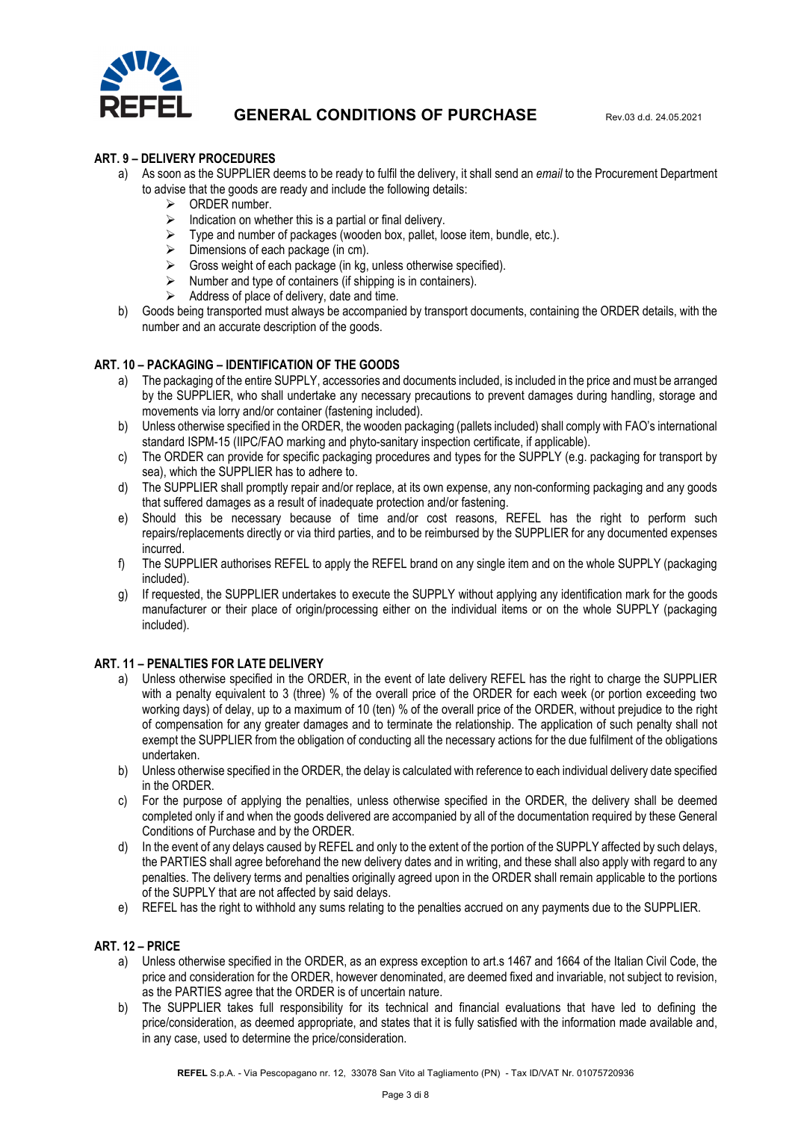

#### **ART. 9 – DELIVERY PROCEDURES**

- a) As soon as the SUPPLIER deems to be ready to fulfil the delivery, it shall send an *email* to the Procurement Department to advise that the goods are ready and include the following details:
	- $\triangleright$  ORDER number.
	- $\triangleright$  Indication on whether this is a partial or final delivery.
	- $\triangleright$  Type and number of packages (wooden box, pallet, loose item, bundle, etc.).
	- $\triangleright$  Dimensions of each package (in cm).
	- $\triangleright$  Gross weight of each package (in kg, unless otherwise specified).
	- $\triangleright$  Number and type of containers (if shipping is in containers).
	- $\triangleright$  Address of place of delivery, date and time.
- b) Goods being transported must always be accompanied by transport documents, containing the ORDER details, with the number and an accurate description of the goods.

## **ART. 10 – PACKAGING – IDENTIFICATION OF THE GOODS**

- a) The packaging of the entire SUPPLY, accessories and documents included, is included in the price and must be arranged by the SUPPLIER, who shall undertake any necessary precautions to prevent damages during handling, storage and movements via lorry and/or container (fastening included).
- b) Unless otherwise specified in the ORDER, the wooden packaging (pallets included) shall comply with FAO's international standard ISPM-15 (IIPC/FAO marking and phyto-sanitary inspection certificate, if applicable).
- c) The ORDER can provide for specific packaging procedures and types for the SUPPLY (e.g. packaging for transport by sea), which the SUPPLIER has to adhere to.
- d) The SUPPLIER shall promptly repair and/or replace, at its own expense, any non-conforming packaging and any goods that suffered damages as a result of inadequate protection and/or fastening.
- e) Should this be necessary because of time and/or cost reasons, REFEL has the right to perform such repairs/replacements directly or via third parties, and to be reimbursed by the SUPPLIER for any documented expenses incurred.
- f) The SUPPLIER authorises REFEL to apply the REFEL brand on any single item and on the whole SUPPLY (packaging included).
- g) If requested, the SUPPLIER undertakes to execute the SUPPLY without applying any identification mark for the goods manufacturer or their place of origin/processing either on the individual items or on the whole SUPPLY (packaging included).

#### **ART. 11 – PENALTIES FOR LATE DELIVERY**

- a) Unless otherwise specified in the ORDER, in the event of late delivery REFEL has the right to charge the SUPPLIER with a penalty equivalent to 3 (three) % of the overall price of the ORDER for each week (or portion exceeding two working days) of delay, up to a maximum of 10 (ten) % of the overall price of the ORDER, without prejudice to the right of compensation for any greater damages and to terminate the relationship. The application of such penalty shall not exempt the SUPPLIER from the obligation of conducting all the necessary actions for the due fulfilment of the obligations undertaken.
- b) Unless otherwise specified in the ORDER, the delay is calculated with reference to each individual delivery date specified in the ORDER.
- c) For the purpose of applying the penalties, unless otherwise specified in the ORDER, the delivery shall be deemed completed only if and when the goods delivered are accompanied by all of the documentation required by these General Conditions of Purchase and by the ORDER.
- d) In the event of any delays caused by REFEL and only to the extent of the portion of the SUPPLY affected by such delays, the PARTIES shall agree beforehand the new delivery dates and in writing, and these shall also apply with regard to any penalties. The delivery terms and penalties originally agreed upon in the ORDER shall remain applicable to the portions of the SUPPLY that are not affected by said delays.
- e) REFEL has the right to withhold any sums relating to the penalties accrued on any payments due to the SUPPLIER.

#### **ART. 12 – PRICE**

- a) Unless otherwise specified in the ORDER, as an express exception to art.s 1467 and 1664 of the Italian Civil Code, the price and consideration for the ORDER, however denominated, are deemed fixed and invariable, not subject to revision, as the PARTIES agree that the ORDER is of uncertain nature.
- b) The SUPPLIER takes full responsibility for its technical and financial evaluations that have led to defining the price/consideration, as deemed appropriate, and states that it is fully satisfied with the information made available and, in any case, used to determine the price/consideration.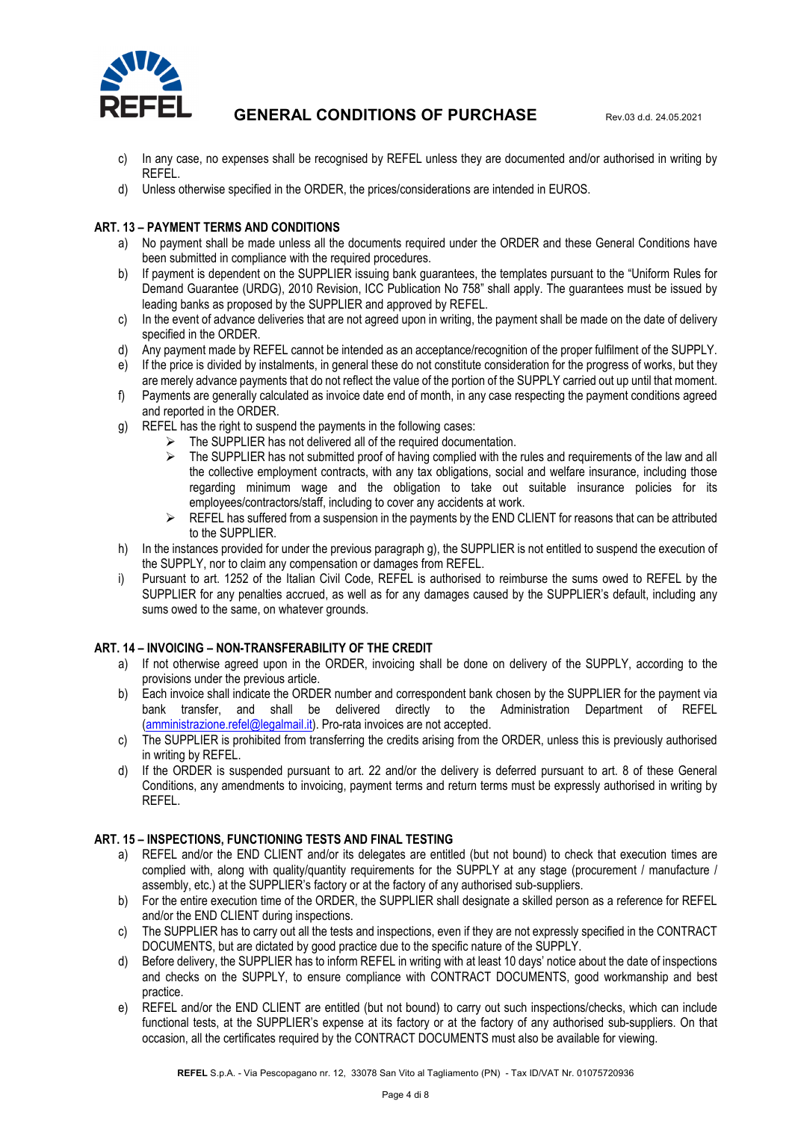

- c) In any case, no expenses shall be recognised by REFEL unless they are documented and/or authorised in writing by REFEL.
- d) Unless otherwise specified in the ORDER, the prices/considerations are intended in EUROS.

## **ART. 13 – PAYMENT TERMS AND CONDITIONS**

- a) No payment shall be made unless all the documents required under the ORDER and these General Conditions have been submitted in compliance with the required procedures.
- b) If payment is dependent on the SUPPLIER issuing bank guarantees, the templates pursuant to the "Uniform Rules for Demand Guarantee (URDG), 2010 Revision, ICC Publication No 758" shall apply. The guarantees must be issued by leading banks as proposed by the SUPPLIER and approved by REFEL.
- c) In the event of advance deliveries that are not agreed upon in writing, the payment shall be made on the date of delivery specified in the ORDER.
- d) Any payment made by REFEL cannot be intended as an acceptance/recognition of the proper fulfilment of the SUPPLY.
- e) If the price is divided by instalments, in general these do not constitute consideration for the progress of works, but they are merely advance payments that do not reflect the value of the portion of the SUPPLY carried out up until that moment.
- f) Payments are generally calculated as invoice date end of month, in any case respecting the payment conditions agreed and reported in the ORDER.
- g) REFEL has the right to suspend the payments in the following cases:
	- The SUPPLIER has not delivered all of the required documentation.
	- $\triangleright$  The SUPPLIER has not submitted proof of having complied with the rules and requirements of the law and all the collective employment contracts, with any tax obligations, social and welfare insurance, including those regarding minimum wage and the obligation to take out suitable insurance policies for its employees/contractors/staff, including to cover any accidents at work.
	- $\triangleright$  REFEL has suffered from a suspension in the payments by the END CLIENT for reasons that can be attributed to the SUPPLIER.
- h) In the instances provided for under the previous paragraph g), the SUPPLIER is not entitled to suspend the execution of the SUPPLY, nor to claim any compensation or damages from REFEL.
- i) Pursuant to art. 1252 of the Italian Civil Code, REFEL is authorised to reimburse the sums owed to REFEL by the SUPPLIER for any penalties accrued, as well as for any damages caused by the SUPPLIER's default, including any sums owed to the same, on whatever grounds.

#### **ART. 14 – INVOICING – NON-TRANSFERABILITY OF THE CREDIT**

- a) If not otherwise agreed upon in the ORDER, invoicing shall be done on delivery of the SUPPLY, according to the provisions under the previous article.
- b) Each invoice shall indicate the ORDER number and correspondent bank chosen by the SUPPLIER for the payment via bank transfer, and shall be delivered directly to the Administration Department of REFEL (amministrazione.refel@legalmail.it). Pro-rata invoices are not accepted.
- c) The SUPPLIER is prohibited from transferring the credits arising from the ORDER, unless this is previously authorised in writing by REFEL.
- d) If the ORDER is suspended pursuant to art. 22 and/or the delivery is deferred pursuant to art. 8 of these General Conditions, any amendments to invoicing, payment terms and return terms must be expressly authorised in writing by REFEL.

#### **ART. 15 – INSPECTIONS, FUNCTIONING TESTS AND FINAL TESTING**

- a) REFEL and/or the END CLIENT and/or its delegates are entitled (but not bound) to check that execution times are complied with, along with quality/quantity requirements for the SUPPLY at any stage (procurement / manufacture / assembly, etc.) at the SUPPLIER's factory or at the factory of any authorised sub-suppliers.
- b) For the entire execution time of the ORDER, the SUPPLIER shall designate a skilled person as a reference for REFEL and/or the END CLIENT during inspections.
- c) The SUPPLIER has to carry out all the tests and inspections, even if they are not expressly specified in the CONTRACT DOCUMENTS, but are dictated by good practice due to the specific nature of the SUPPLY.
- d) Before delivery, the SUPPLIER has to inform REFEL in writing with at least 10 days' notice about the date of inspections and checks on the SUPPLY, to ensure compliance with CONTRACT DOCUMENTS, good workmanship and best practice.
- e) REFEL and/or the END CLIENT are entitled (but not bound) to carry out such inspections/checks, which can include functional tests, at the SUPPLIER's expense at its factory or at the factory of any authorised sub-suppliers. On that occasion, all the certificates required by the CONTRACT DOCUMENTS must also be available for viewing.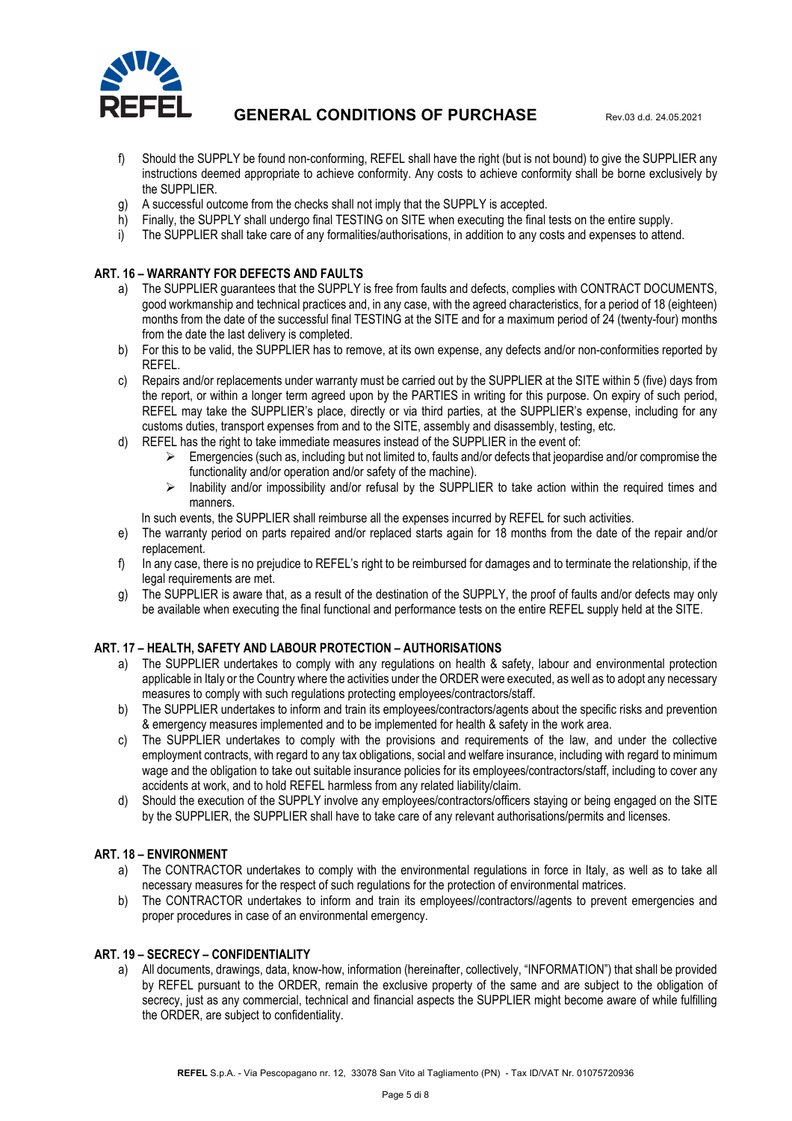

- f) Should the SUPPLY be found non-conforming, REFEL shall have the right (but is not bound) to give the SUPPLIER any instructions deemed appropriate to achieve conformity. Any costs to achieve conformity shall be borne exclusively by the SUPPLIER.
- g) A successful outcome from the checks shall not imply that the SUPPLY is accepted.
- h) Finally, the SUPPLY shall undergo final TESTING on SITE when executing the final tests on the entire supply.
- i) The SUPPLIER shall take care of any formalities/authorisations, in addition to any costs and expenses to attend.

### **ART. 16 – WARRANTY FOR DEFECTS AND FAULTS**

- a) The SUPPLIER guarantees that the SUPPLY is free from faults and defects, complies with CONTRACT DOCUMENTS, good workmanship and technical practices and, in any case, with the agreed characteristics, for a period of 18 (eighteen) months from the date of the successful final TESTING at the SITE and for a maximum period of 24 (twenty-four) months from the date the last delivery is completed.
- b) For this to be valid, the SUPPLIER has to remove, at its own expense, any defects and/or non-conformities reported by REFEL.
- c) Repairs and/or replacements under warranty must be carried out by the SUPPLIER at the SITE within 5 (five) days from the report, or within a longer term agreed upon by the PARTIES in writing for this purpose. On expiry of such period, REFEL may take the SUPPLIER's place, directly or via third parties, at the SUPPLIER's expense, including for any customs duties, transport expenses from and to the SITE, assembly and disassembly, testing, etc.
- d) REFEL has the right to take immediate measures instead of the SUPPLIER in the event of:
	- $\triangleright$  Emergencies (such as, including but not limited to, faults and/or defects that jeopardise and/or compromise the functionality and/or operation and/or safety of the machine).
	- > Inability and/or impossibility and/or refusal by the SUPPLIER to take action within the required times and manners.

In such events, the SUPPLIER shall reimburse all the expenses incurred by REFEL for such activities.

- e) The warranty period on parts repaired and/or replaced starts again for 18 months from the date of the repair and/or replacement.
- f) In any case, there is no prejudice to REFEL's right to be reimbursed for damages and to terminate the relationship, if the legal requirements are met.
- g) The SUPPLIER is aware that, as a result of the destination of the SUPPLY, the proof of faults and/or defects may only be available when executing the final functional and performance tests on the entire REFEL supply held at the SITE.

#### **ART. 17 – HEALTH, SAFETY AND LABOUR PROTECTION – AUTHORISATIONS**

- a) The SUPPLIER undertakes to comply with any regulations on health & safety, labour and environmental protection applicable in Italy or the Country where the activities under the ORDER were executed, as well as to adopt any necessary measures to comply with such regulations protecting employees/contractors/staff.
- b) The SUPPLIER undertakes to inform and train its employees/contractors/agents about the specific risks and prevention & emergency measures implemented and to be implemented for health & safety in the work area.
- c) The SUPPLIER undertakes to comply with the provisions and requirements of the law, and under the collective employment contracts, with regard to any tax obligations, social and welfare insurance, including with regard to minimum wage and the obligation to take out suitable insurance policies for its employees/contractors/staff, including to cover any accidents at work, and to hold REFEL harmless from any related liability/claim.
- d) Should the execution of the SUPPLY involve any employees/contractors/officers staying or being engaged on the SITE by the SUPPLIER, the SUPPLIER shall have to take care of any relevant authorisations/permits and licenses.

#### **ART. 18 – ENVIRONMENT**

- a) The CONTRACTOR undertakes to comply with the environmental regulations in force in Italy, as well as to take all necessary measures for the respect of such regulations for the protection of environmental matrices.
- b) The CONTRACTOR undertakes to inform and train its employees//contractors//agents to prevent emergencies and proper procedures in case of an environmental emergency.

#### **ART. 19 – SECRECY – CONFIDENTIALITY**

a) All documents, drawings, data, know-how, information (hereinafter, collectively, "INFORMATION") that shall be provided by REFEL pursuant to the ORDER, remain the exclusive property of the same and are subject to the obligation of secrecy, just as any commercial, technical and financial aspects the SUPPLIER might become aware of while fulfilling the ORDER, are subject to confidentiality.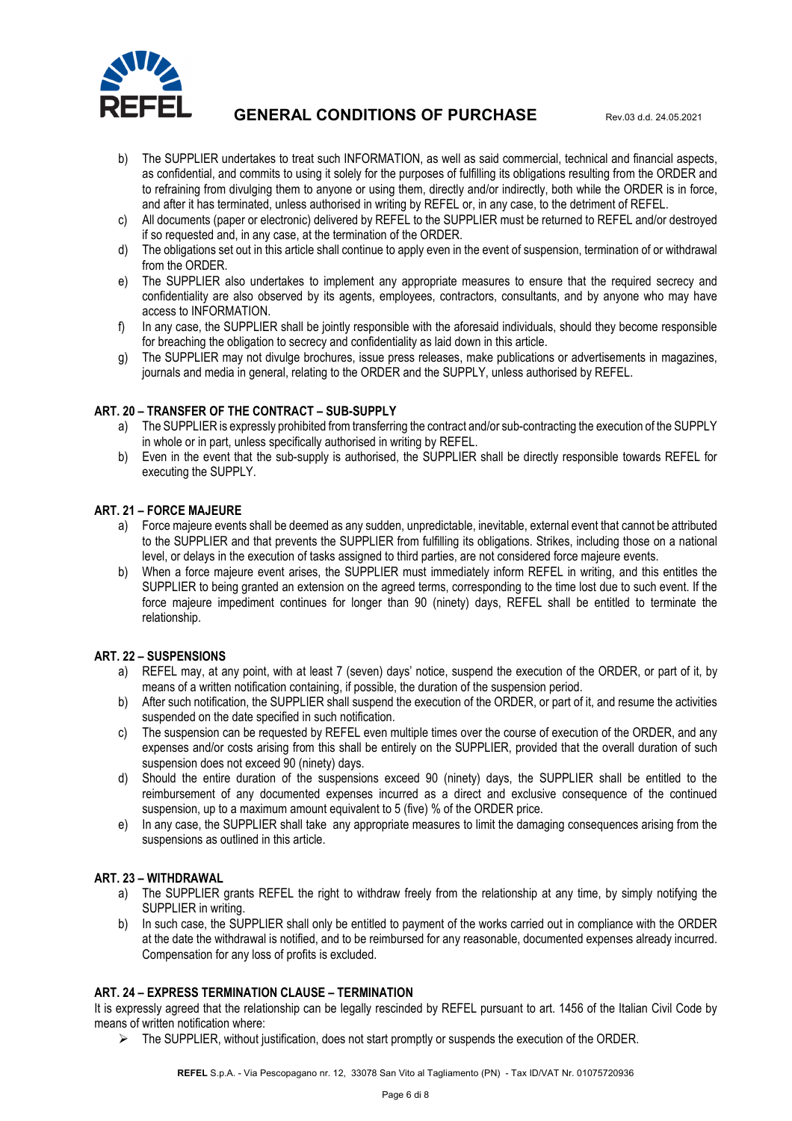

- b) The SUPPLIER undertakes to treat such INFORMATION, as well as said commercial, technical and financial aspects, as confidential, and commits to using it solely for the purposes of fulfilling its obligations resulting from the ORDER and to refraining from divulging them to anyone or using them, directly and/or indirectly, both while the ORDER is in force, and after it has terminated, unless authorised in writing by REFEL or, in any case, to the detriment of REFEL.
- c) All documents (paper or electronic) delivered by REFEL to the SUPPLIER must be returned to REFEL and/or destroyed if so requested and, in any case, at the termination of the ORDER.
- d) The obligations set out in this article shall continue to apply even in the event of suspension, termination of or withdrawal from the ORDER.
- e) The SUPPLIER also undertakes to implement any appropriate measures to ensure that the required secrecy and confidentiality are also observed by its agents, employees, contractors, consultants, and by anyone who may have access to INFORMATION.
- f) In any case, the SUPPLIER shall be jointly responsible with the aforesaid individuals, should they become responsible for breaching the obligation to secrecy and confidentiality as laid down in this article.
- g) The SUPPLIER may not divulge brochures, issue press releases, make publications or advertisements in magazines, journals and media in general, relating to the ORDER and the SUPPLY, unless authorised by REFEL.

## **ART. 20 – TRANSFER OF THE CONTRACT – SUB-SUPPLY**

- a) The SUPPLIER is expressly prohibited from transferring the contract and/or sub-contracting the execution of the SUPPLY in whole or in part, unless specifically authorised in writing by REFEL.
- b) Even in the event that the sub-supply is authorised, the SUPPLIER shall be directly responsible towards REFEL for executing the SUPPLY.

#### **ART. 21 – FORCE MAJEURE**

- a) Force majeure events shall be deemed as any sudden, unpredictable, inevitable, external event that cannot be attributed to the SUPPLIER and that prevents the SUPPLIER from fulfilling its obligations. Strikes, including those on a national level, or delays in the execution of tasks assigned to third parties, are not considered force majeure events.
- b) When a force majeure event arises, the SUPPLIER must immediately inform REFEL in writing, and this entitles the SUPPLIER to being granted an extension on the agreed terms, corresponding to the time lost due to such event. If the force majeure impediment continues for longer than 90 (ninety) days, REFEL shall be entitled to terminate the relationship.

#### **ART. 22 – SUSPENSIONS**

- a) REFEL may, at any point, with at least 7 (seven) days' notice, suspend the execution of the ORDER, or part of it, by means of a written notification containing, if possible, the duration of the suspension period.
- b) After such notification, the SUPPLIER shall suspend the execution of the ORDER, or part of it, and resume the activities suspended on the date specified in such notification.
- c) The suspension can be requested by REFEL even multiple times over the course of execution of the ORDER, and any expenses and/or costs arising from this shall be entirely on the SUPPLIER, provided that the overall duration of such suspension does not exceed 90 (ninety) days.
- d) Should the entire duration of the suspensions exceed 90 (ninety) days, the SUPPLIER shall be entitled to the reimbursement of any documented expenses incurred as a direct and exclusive consequence of the continued suspension, up to a maximum amount equivalent to 5 (five) % of the ORDER price.
- e) In any case, the SUPPLIER shall take any appropriate measures to limit the damaging consequences arising from the suspensions as outlined in this article.

#### **ART. 23 – WITHDRAWAL**

- a) The SUPPLIER grants REFEL the right to withdraw freely from the relationship at any time, by simply notifying the SUPPLIER in writing.
- b) In such case, the SUPPLIER shall only be entitled to payment of the works carried out in compliance with the ORDER at the date the withdrawal is notified, and to be reimbursed for any reasonable, documented expenses already incurred. Compensation for any loss of profits is excluded.

#### **ART. 24 – EXPRESS TERMINATION CLAUSE – TERMINATION**

It is expressly agreed that the relationship can be legally rescinded by REFEL pursuant to art. 1456 of the Italian Civil Code by means of written notification where:

 $\triangleright$  The SUPPLIER, without iustification, does not start promptly or suspends the execution of the ORDER.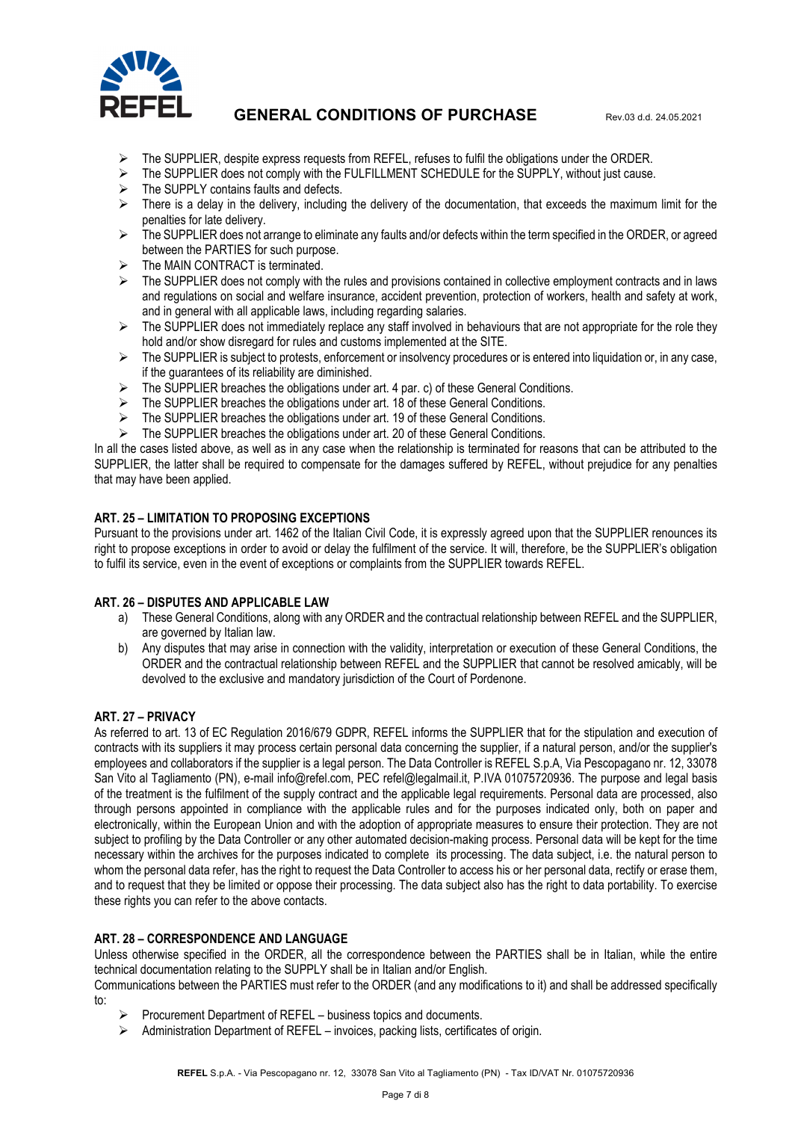

- $\triangleright$  The SUPPLIER, despite express requests from REFEL, refuses to fulfil the obligations under the ORDER.
- $\triangleright$  The SUPPLIER does not comply with the FULFILLMENT SCHEDULE for the SUPPLY, without just cause.
- $\triangleright$  The SUPPLY contains faults and defects.
- $\triangleright$  There is a delay in the delivery, including the delivery of the documentation, that exceeds the maximum limit for the penalties for late delivery.
- $\triangleright$  The SUPPLIER does not arrange to eliminate any faults and/or defects within the term specified in the ORDER, or agreed between the PARTIES for such purpose.
- $\triangleright$  The MAIN CONTRACT is terminated.
- $\triangleright$  The SUPPLIER does not comply with the rules and provisions contained in collective employment contracts and in laws and regulations on social and welfare insurance, accident prevention, protection of workers, health and safety at work, and in general with all applicable laws, including regarding salaries.
- $\triangleright$  The SUPPLIER does not immediately replace any staff involved in behaviours that are not appropriate for the role they hold and/or show disregard for rules and customs implemented at the SITE.
- > The SUPPLIER is subject to protests, enforcement or insolvency procedures or is entered into liquidation or, in any case, if the guarantees of its reliability are diminished.
- $\triangleright$  The SUPPLIER breaches the obligations under art. 4 par. c) of these General Conditions.
- > The SUPPLIER breaches the obligations under art. 18 of these General Conditions.
- The SUPPLIER breaches the obligations under art. 19 of these General Conditions.
- The SUPPLIER breaches the obligations under art. 20 of these General Conditions.

In all the cases listed above, as well as in any case when the relationship is terminated for reasons that can be attributed to the SUPPLIER, the latter shall be required to compensate for the damages suffered by REFEL, without prejudice for any penalties that may have been applied.

#### **ART. 25 – LIMITATION TO PROPOSING EXCEPTIONS**

Pursuant to the provisions under art. 1462 of the Italian Civil Code, it is expressly agreed upon that the SUPPLIER renounces its right to propose exceptions in order to avoid or delay the fulfilment of the service. It will, therefore, be the SUPPLIER's obligation to fulfil its service, even in the event of exceptions or complaints from the SUPPLIER towards REFEL.

#### **ART. 26 – DISPUTES AND APPLICABLE LAW**

- a) These General Conditions, along with any ORDER and the contractual relationship between REFEL and the SUPPLIER, are governed by Italian law.
- b) Any disputes that may arise in connection with the validity, interpretation or execution of these General Conditions, the ORDER and the contractual relationship between REFEL and the SUPPLIER that cannot be resolved amicably, will be devolved to the exclusive and mandatory jurisdiction of the Court of Pordenone.

#### **ART. 27 – PRIVACY**

As referred to art. 13 of EC Regulation 2016/679 GDPR, REFEL informs the SUPPLIER that for the stipulation and execution of contracts with its suppliers it may process certain personal data concerning the supplier, if a natural person, and/or the supplier's employees and collaborators if the supplier is a legal person. The Data Controller is REFEL S.p.A, Via Pescopagano nr. 12, 33078 San Vito al Tagliamento (PN), e-mail info@refel.com, PEC refel@legalmail.it, P.IVA 01075720936. The purpose and legal basis of the treatment is the fulfilment of the supply contract and the applicable legal requirements. Personal data are processed, also through persons appointed in compliance with the applicable rules and for the purposes indicated only, both on paper and electronically, within the European Union and with the adoption of appropriate measures to ensure their protection. They are not subject to profiling by the Data Controller or any other automated decision-making process. Personal data will be kept for the time necessary within the archives for the purposes indicated to complete its processing. The data subject, i.e. the natural person to whom the personal data refer, has the right to request the Data Controller to access his or her personal data, rectify or erase them, and to request that they be limited or oppose their processing. The data subject also has the right to data portability. To exercise these rights you can refer to the above contacts.

#### **ART. 28 – CORRESPONDENCE AND LANGUAGE**

Unless otherwise specified in the ORDER, all the correspondence between the PARTIES shall be in Italian, while the entire technical documentation relating to the SUPPLY shall be in Italian and/or English.

Communications between the PARTIES must refer to the ORDER (and any modifications to it) and shall be addressed specifically to:

- Procurement Department of REFEL business topics and documents.
- Administration Department of REFEL invoices, packing lists, certificates of origin.